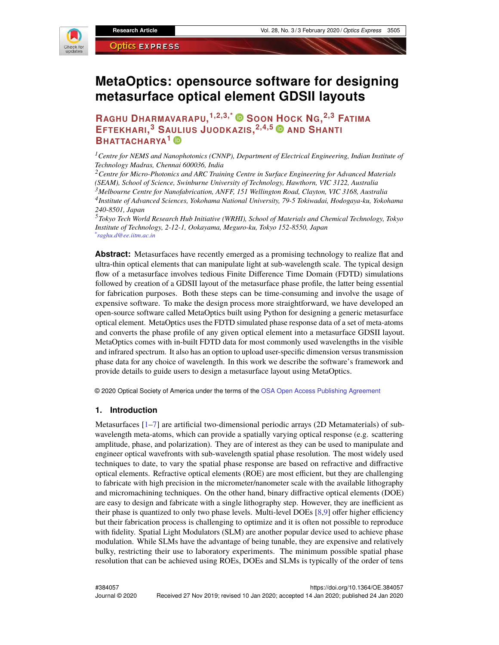

# **MetaOptics: opensource software for designing metasurface optical element GDSII layouts**

**RAGHU DHARMAVARAPU, 1,2,3,\* SOON HOCK NG, 2,3 FATIMA EFTEKHARI, <sup>3</sup> SAULIUS JUODKAZIS, 2,4,5 AND SHANTI BHATTACHARYA<sup>1</sup>**

*<sup>1</sup>Centre for NEMS and Nanophotonics (CNNP), Department of Electrical Engineering, Indian Institute of Technology Madras, Chennai 600036, India*

*<sup>2</sup>Centre for Micro-Photonics and ARC Training Centre in Surface Engineering for Advanced Materials (SEAM), School of Science, Swinburne University of Technology, Hawthorn, VIC 3122, Australia <sup>3</sup>Melbourne Centre for Nanofabrication, ANFF, 151 Wellington Road, Clayton, VIC 3168, Australia 4 Institute of Advanced Sciences, Yokohama National University, 79-5 Tokiwadai, Hodogaya-ku, Yokohama 240-8501, Japan*

*<sup>5</sup>Tokyo Tech World Research Hub Initiative (WRHI), School of Materials and Chemical Technology, Tokyo Institute of Technology, 2-12-1, Ookayama, Meguro-ku, Tokyo 152-8550, Japan \* raghu.d@ee.iitm.ac.in*

**Abstract:** Metasurfaces have recently emerged as a promising technology to realize flat and ultra-thin optical elements that can manipulate light at sub-wavelength scale. The typical design flow of a metasurface involves tedious Finite Difference Time Domain (FDTD) simulations followed by creation of a GDSII layout of the metasurface phase profile, the latter being essential for fabrication purposes. Both these steps can be time-consuming and involve the usage of expensive software. To make the design process more straightforward, we have developed an open-source software called MetaOptics built using Python for designing a generic metasurface optical element. MetaOptics uses the FDTD simulated phase response data of a set of meta-atoms and converts the phase profile of any given optical element into a metasurface GDSII layout. MetaOptics comes with in-built FDTD data for most commonly used wavelengths in the visible and infrared spectrum. It also has an option to upload user-specific dimension versus transmission phase data for any choice of wavelength. In this work we describe the software's framework and provide details to guide users to design a metasurface layout using MetaOptics.

© 2020 Optical Society of America under the terms of the OSA Open Access Publishing Agreement

#### **1. Introduction**

Metasurfaces [1–7] are artificial two-dimensional periodic arrays (2D Metamaterials) of subwavelength meta-atoms, which can provide a spatially varying optical response (e.g. scattering amplitude, phase, and polarization). They are of interest as they can be used to manipulate and engineer optical wavefronts with sub-wavelength spatial phase resolution. The most widely used techniques to date, to vary the spatial phase response are based on refractive and diffractive optical elements. Refractive optical elements (ROE) are most efficient, but they are challenging to fabricate with high precision in the micrometer/nanometer scale with the available lithography and micromachining techniques. On the other hand, binary diffractive optical elements (DOE) are easy to design and fabricate with a single lithography step. However, they are inefficient as their phase is quantized to only two phase levels. Multi-level DOEs [8,9] offer higher efficiency but their fabrication process is challenging to optimize and it is often not possible to reproduce with fidelity. Spatial Light Modulators (SLM) are another popular device used to achieve phase modulation. While SLMs have the advantage of being tunable, they are expensive and relatively bulky, restricting their use to laboratory experiments. The minimum possible spatial phase resolution that can be achieved using ROEs, DOEs and SLMs is typically of the order of tens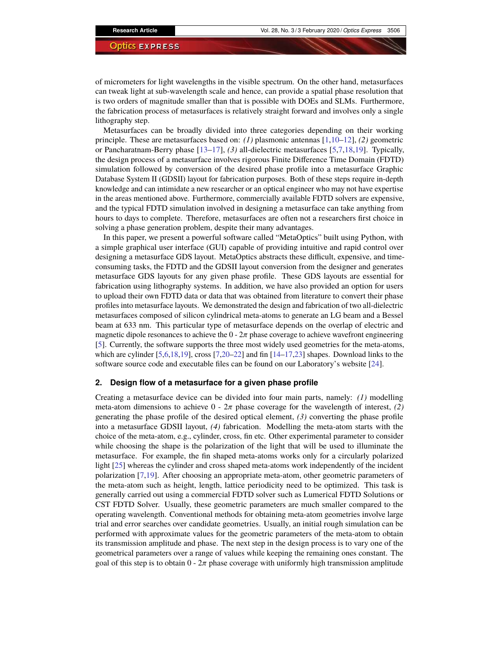of micrometers for light wavelengths in the visible spectrum. On the other hand, metasurfaces can tweak light at sub-wavelength scale and hence, can provide a spatial phase resolution that is two orders of magnitude smaller than that is possible with DOEs and SLMs. Furthermore, the fabrication process of metasurfaces is relatively straight forward and involves only a single lithography step.

Metasurfaces can be broadly divided into three categories depending on their working principle. These are metasurfaces based on: *(1)* plasmonic antennas [1,10–12], *(2)* geometric or Pancharatnam-Berry phase [13–17], *(3)* all-dielectric metasurfaces [5,7,18,19]. Typically, the design process of a metasurface involves rigorous Finite Difference Time Domain (FDTD) simulation followed by conversion of the desired phase profile into a metasurface Graphic Database System II (GDSII) layout for fabrication purposes. Both of these steps require in-depth knowledge and can intimidate a new researcher or an optical engineer who may not have expertise in the areas mentioned above. Furthermore, commercially available FDTD solvers are expensive, and the typical FDTD simulation involved in designing a metasurface can take anything from hours to days to complete. Therefore, metasurfaces are often not a researchers first choice in solving a phase generation problem, despite their many advantages.

In this paper, we present a powerful software called "MetaOptics" built using Python, with a simple graphical user interface (GUI) capable of providing intuitive and rapid control over designing a metasurface GDS layout. MetaOptics abstracts these difficult, expensive, and timeconsuming tasks, the FDTD and the GDSII layout conversion from the designer and generates metasurface GDS layouts for any given phase profile. These GDS layouts are essential for fabrication using lithography systems. In addition, we have also provided an option for users to upload their own FDTD data or data that was obtained from literature to convert their phase profiles into metasurface layouts. We demonstrated the design and fabrication of two all-dielectric metasurfaces composed of silicon cylindrical meta-atoms to generate an LG beam and a Bessel beam at 633 nm. This particular type of metasurface depends on the overlap of electric and magnetic dipole resonances to achieve the  $0 - 2\pi$  phase coverage to achieve wavefront engineering [5]. Currently, the software supports the three most widely used geometries for the meta-atoms, which are cylinder  $[5,6,18,19]$ , cross  $[7,20-22]$  and fin  $[14-17,23]$  shapes. Download links to the software source code and executable files can be found on our Laboratory's website [24].

### **2. Design flow of a metasurface for a given phase profile**

Creating a metasurface device can be divided into four main parts, namely: *(1)* modelling meta-atom dimensions to achieve  $0 - 2\pi$  phase coverage for the wavelength of interest, (2) generating the phase profile of the desired optical element, *(3)* converting the phase profile into a metasurface GDSII layout, *(4)* fabrication. Modelling the meta-atom starts with the choice of the meta-atom, e.g., cylinder, cross, fin etc. Other experimental parameter to consider while choosing the shape is the polarization of the light that will be used to illuminate the metasurface. For example, the fin shaped meta-atoms works only for a circularly polarized light [25] whereas the cylinder and cross shaped meta-atoms work independently of the incident polarization [7,19]. After choosing an appropriate meta-atom, other geometric parameters of the meta-atom such as height, length, lattice periodicity need to be optimized. This task is generally carried out using a commercial FDTD solver such as Lumerical FDTD Solutions or CST FDTD Solver. Usually, these geometric parameters are much smaller compared to the operating wavelength. Conventional methods for obtaining meta-atom geometries involve large trial and error searches over candidate geometries. Usually, an initial rough simulation can be performed with approximate values for the geometric parameters of the meta-atom to obtain its transmission amplitude and phase. The next step in the design process is to vary one of the geometrical parameters over a range of values while keeping the remaining ones constant. The goal of this step is to obtain  $0 - 2\pi$  phase coverage with uniformly high transmission amplitude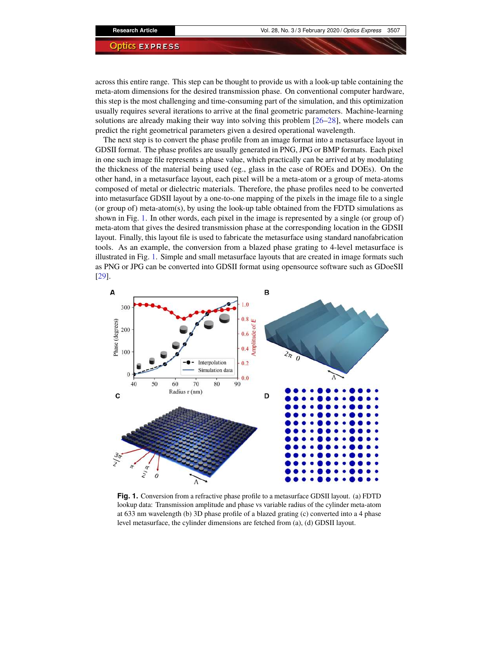across this entire range. This step can be thought to provide us with a look-up table containing the meta-atom dimensions for the desired transmission phase. On conventional computer hardware, this step is the most challenging and time-consuming part of the simulation, and this optimization usually requires several iterations to arrive at the final geometric parameters. Machine-learning solutions are already making their way into solving this problem [26–28], where models can predict the right geometrical parameters given a desired operational wavelength.

The next step is to convert the phase profile from an image format into a metasurface layout in GDSII format. The phase profiles are usually generated in PNG, JPG or BMP formats. Each pixel in one such image file represents a phase value, which practically can be arrived at by modulating the thickness of the material being used (eg., glass in the case of ROEs and DOEs). On the other hand, in a metasurface layout, each pixel will be a meta-atom or a group of meta-atoms composed of metal or dielectric materials. Therefore, the phase profiles need to be converted into metasurface GDSII layout by a one-to-one mapping of the pixels in the image file to a single (or group of) meta-atom(s), by using the look-up table obtained from the FDTD simulations as shown in Fig. 1. In other words, each pixel in the image is represented by a single (or group of) meta-atom that gives the desired transmission phase at the corresponding location in the GDSII layout. Finally, this layout file is used to fabricate the metasurface using standard nanofabrication tools. As an example, the conversion from a blazed phase grating to 4-level metasurface is illustrated in Fig. 1. Simple and small metasurface layouts that are created in image formats such as PNG or JPG can be converted into GDSII format using opensource software such as GDoeSII [29].



**Fig. 1.** Conversion from a refractive phase profile to a metasurface GDSII layout. (a) FDTD lookup data: Transmission amplitude and phase vs variable radius of the cylinder meta-atom at 633 nm wavelength (b) 3D phase profile of a blazed grating (c) converted into a 4 phase level metasurface, the cylinder dimensions are fetched from (a), (d) GDSII layout.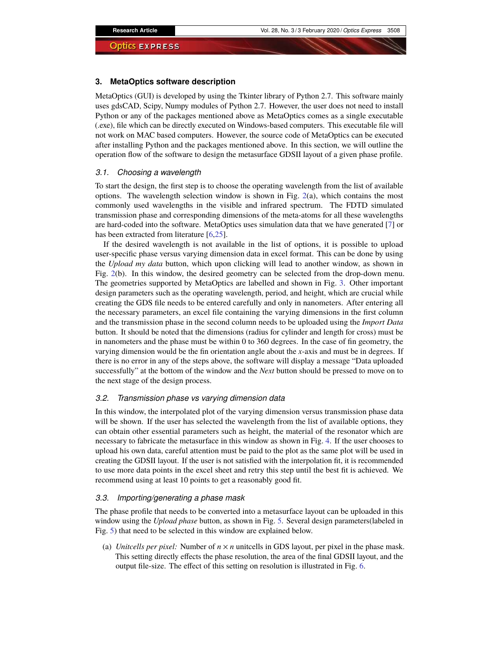#### **3. MetaOptics software description**

MetaOptics (GUI) is developed by using the Tkinter library of Python 2.7. This software mainly uses gdsCAD, Scipy, Numpy modules of Python 2.7. However, the user does not need to install Python or any of the packages mentioned above as MetaOptics comes as a single executable (.exe), file which can be directly executed on Windows-based computers. This executable file will not work on MAC based computers. However, the source code of MetaOptics can be executed after installing Python and the packages mentioned above. In this section, we will outline the operation flow of the software to design the metasurface GDSII layout of a given phase profile.

#### *3.1. Choosing a wavelength*

To start the design, the first step is to choose the operating wavelength from the list of available options. The wavelength selection window is shown in Fig.  $2(a)$ , which contains the most commonly used wavelengths in the visible and infrared spectrum. The FDTD simulated transmission phase and corresponding dimensions of the meta-atoms for all these wavelengths are hard-coded into the software. MetaOptics uses simulation data that we have generated [7] or has been extracted from literature [6,25].

If the desired wavelength is not available in the list of options, it is possible to upload user-specific phase versus varying dimension data in excel format. This can be done by using the *Upload my data* button, which upon clicking will lead to another window, as shown in Fig. 2(b). In this window, the desired geometry can be selected from the drop-down menu. The geometries supported by MetaOptics are labelled and shown in Fig. 3. Other important design parameters such as the operating wavelength, period, and height, which are crucial while creating the GDS file needs to be entered carefully and only in nanometers. After entering all the necessary parameters, an excel file containing the varying dimensions in the first column and the transmission phase in the second column needs to be uploaded using the *Import Data* button. It should be noted that the dimensions (radius for cylinder and length for cross) must be in nanometers and the phase must be within 0 to 360 degrees. In the case of fin geometry, the varying dimension would be the fin orientation angle about the *x*-axis and must be in degrees. If there is no error in any of the steps above, the software will display a message "Data uploaded successfully" at the bottom of the window and the *Next* button should be pressed to move on to the next stage of the design process.

# *3.2. Transmission phase vs varying dimension data*

In this window, the interpolated plot of the varying dimension versus transmission phase data will be shown. If the user has selected the wavelength from the list of available options, they can obtain other essential parameters such as height, the material of the resonator which are necessary to fabricate the metasurface in this window as shown in Fig. 4. If the user chooses to upload his own data, careful attention must be paid to the plot as the same plot will be used in creating the GDSII layout. If the user is not satisfied with the interpolation fit, it is recommended to use more data points in the excel sheet and retry this step until the best fit is achieved. We recommend using at least 10 points to get a reasonably good fit.

# *3.3. Importing/generating a phase mask*

The phase profile that needs to be converted into a metasurface layout can be uploaded in this window using the *Upload phase* button, as shown in Fig. 5. Several design parameters(labeled in Fig. 5) that need to be selected in this window are explained below.

(a) *Unitcells per pixel:* Number of  $n \times n$  unitcells in GDS layout, per pixel in the phase mask. This setting directly effects the phase resolution, the area of the final GDSII layout, and the output file-size. The effect of this setting on resolution is illustrated in Fig. 6.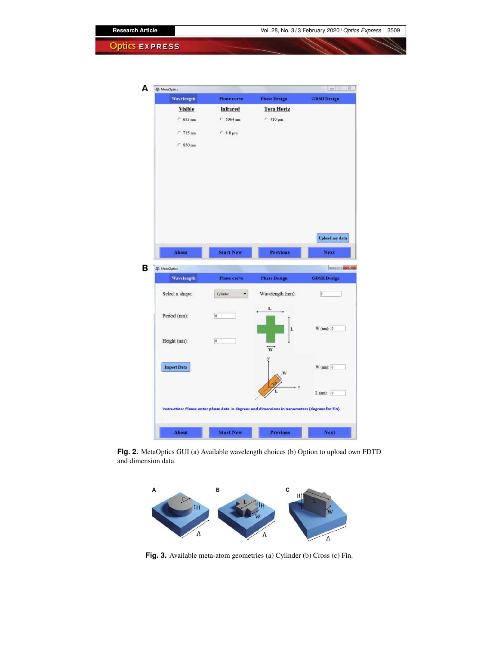

**Fig. 2.** MetaOptics GUI (a) Available wavelength choices (b) Option to upload own FDTD and dimension data.



**Fig. 3.** Available meta-atom geometries (a) Cylinder (b) Cross (c) Fin.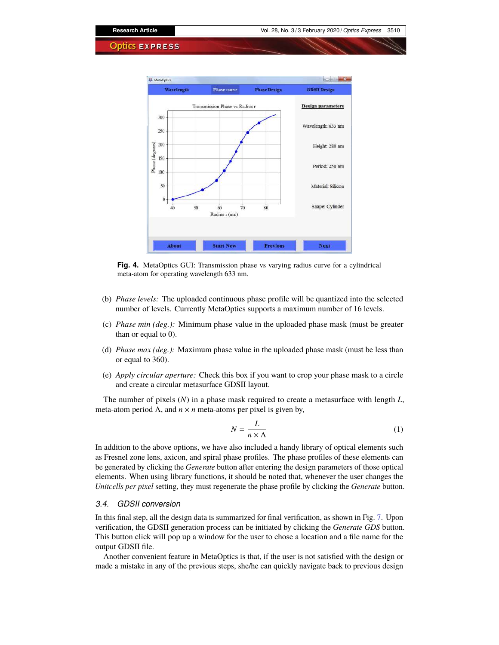

**Fig. 4.** MetaOptics GUI: Transmission phase vs varying radius curve for a cylindrical meta-atom for operating wavelength 633 nm.

- (b) *Phase levels:* The uploaded continuous phase profile will be quantized into the selected number of levels. Currently MetaOptics supports a maximum number of 16 levels.
- (c) *Phase min (deg.):* Minimum phase value in the uploaded phase mask (must be greater than or equal to 0).
- (d) *Phase max (deg.):* Maximum phase value in the uploaded phase mask (must be less than or equal to 360).
- (e) *Apply circular aperture:* Check this box if you want to crop your phase mask to a circle and create a circular metasurface GDSII layout.

The number of pixels (*N*) in a phase mask required to create a metasurface with length *L*, meta-atom period Λ, and  $n \times n$  meta-atoms per pixel is given by,

$$
N = \frac{L}{n \times \Lambda} \tag{1}
$$

In addition to the above options, we have also included a handy library of optical elements such as Fresnel zone lens, axicon, and spiral phase profiles. The phase profiles of these elements can be generated by clicking the *Generate* button after entering the design parameters of those optical elements. When using library functions, it should be noted that, whenever the user changes the *Unitcells per pixel* setting, they must regenerate the phase profile by clicking the *Generate* button.

# *3.4. GDSII conversion*

In this final step, all the design data is summarized for final verification, as shown in Fig. 7. Upon verification, the GDSII generation process can be initiated by clicking the *Generate GDS* button. This button click will pop up a window for the user to chose a location and a file name for the output GDSII file.

Another convenient feature in MetaOptics is that, if the user is not satisfied with the design or made a mistake in any of the previous steps, she/he can quickly navigate back to previous design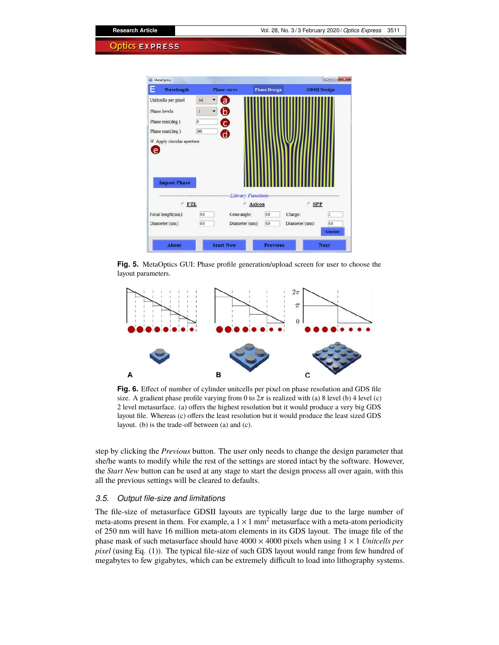

**Fig. 5.** MetaOptics GUI: Phase profile generation/upload screen for user to choose the layout parameters.



**Fig. 6.** Effect of number of cylinder unitcells per pixel on phase resolution and GDS file size. A gradient phase profile varying from 0 to  $2\pi$  is realized with (a) 8 level (b) 4 level (c) 2 level metasurface. (a) offers the highest resolution but it would produce a very big GDS layout file. Whereas (c) offers the least resolution but it would produce the least sized GDS layout. (b) is the trade-off between (a) and (c).

step by clicking the *Previous* button. The user only needs to change the design parameter that she/he wants to modify while the rest of the settings are stored intact by the software. However, the *Start New* button can be used at any stage to start the design process all over again, with this all the previous settings will be cleared to defaults.

# *3.5. Output file-size and limitations*

The file-size of metasurface GDSII layouts are typically large due to the large number of meta-atoms present in them. For example, a  $1 \times 1$  mm<sup>2</sup> metasurface with a meta-atom periodicity of 250 nm will have 16 million meta-atom elements in its GDS layout. The image file of the phase mask of such metasurface should have  $4000 \times 4000$  pixels when using  $1 \times 1$  *Unitcells per pixel* (using Eq. (1)). The typical file-size of such GDS layout would range from few hundred of megabytes to few gigabytes, which can be extremely difficult to load into lithography systems.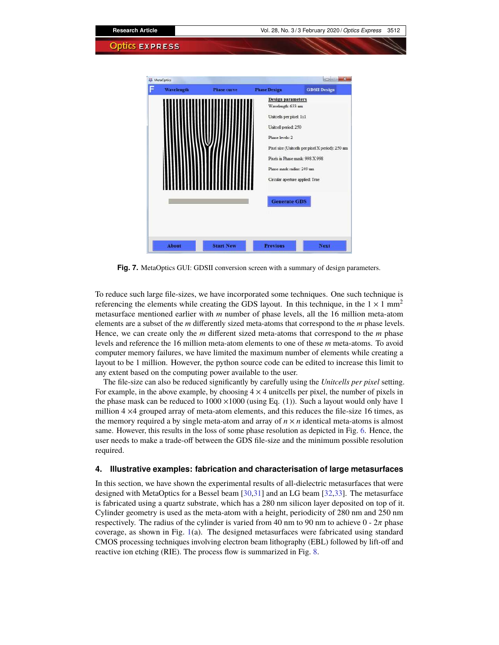| <b>Research Article</b><br><b>Optics EXPRESS</b>                |                                                                                                                        | Vol. 28, No. 3/3 February 2020 / Optics Express                                                                         | 3512 |
|-----------------------------------------------------------------|------------------------------------------------------------------------------------------------------------------------|-------------------------------------------------------------------------------------------------------------------------|------|
| <b>4% MetaOptics</b><br><b>Wavelength</b><br><b>Phase curve</b> | <b>Phase Design</b><br><b>Design parameters</b>                                                                        | <b>ACCIDINATION</b><br><b>GDSII Design</b>                                                                              |      |
|                                                                 | Wavelength: 633 nm<br>Unitcells per pixel: 1x1<br>Unitcell period: 250<br>Phase levels: 2<br>Phase mask radius: 249 um | Pixel size (Unitcells per pixel X period): 250 nm<br>Pixels in Phase mask: 998 X 998<br>Circular aperture applied: True |      |
| <b>Start New</b><br><b>About</b>                                | <b>Generate GDS</b><br><b>Previous</b>                                                                                 | <b>Next</b>                                                                                                             |      |

**Fig. 7.** MetaOptics GUI: GDSII conversion screen with a summary of design parameters.

To reduce such large file-sizes, we have incorporated some techniques. One such technique is referencing the elements while creating the GDS layout. In this technique, in the  $1 \times 1$  mm<sup>2</sup> metasurface mentioned earlier with *m* number of phase levels, all the 16 million meta-atom elements are a subset of the *m* differently sized meta-atoms that correspond to the *m* phase levels. Hence, we can create only the *m* different sized meta-atoms that correspond to the *m* phase levels and reference the 16 million meta-atom elements to one of these *m* meta-atoms. To avoid computer memory failures, we have limited the maximum number of elements while creating a layout to be 1 million. However, the python source code can be edited to increase this limit to any extent based on the computing power available to the user.

The file-size can also be reduced significantly by carefully using the *Unitcells per pixel* setting. For example, in the above example, by choosing  $4 \times 4$  uniteells per pixel, the number of pixels in the phase mask can be reduced to  $1000 \times 1000$  (using Eq. (1)). Such a layout would only have 1 million 4 ×4 grouped array of meta-atom elements, and this reduces the file-size 16 times, as the memory required a by single meta-atom and array of  $n \times n$  identical meta-atoms is almost same. However, this results in the loss of some phase resolution as depicted in Fig. 6. Hence, the user needs to make a trade-off between the GDS file-size and the minimum possible resolution required.

#### **4. Illustrative examples: fabrication and characterisation of large metasurfaces**

In this section, we have shown the experimental results of all-dielectric metasurfaces that were designed with MetaOptics for a Bessel beam [30,31] and an LG beam [32,33]. The metasurface is fabricated using a quartz substrate, which has a 280 nm silicon layer deposited on top of it. Cylinder geometry is used as the meta-atom with a height, periodicity of 280 nm and 250 nm respectively. The radius of the cylinder is varied from 40 nm to 90 nm to achieve  $0 - 2\pi$  phase coverage, as shown in Fig. 1(a). The designed metasurfaces were fabricated using standard CMOS processing techniques involving electron beam lithography (EBL) followed by lift-off and reactive ion etching (RIE). The process flow is summarized in Fig. 8.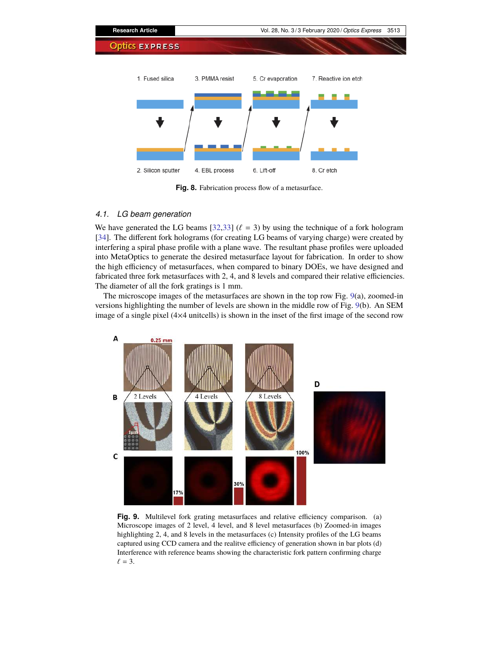

**Fig. 8.** Fabrication process flow of a metasurface.

# *4.1. LG beam generation*

We have generated the LG beams [32,33] ( $\ell = 3$ ) by using the technique of a fork hologram [34]. The different fork holograms (for creating LG beams of varying charge) were created by interfering a spiral phase profile with a plane wave. The resultant phase profiles were uploaded into MetaOptics to generate the desired metasurface layout for fabrication. In order to show the high efficiency of metasurfaces, when compared to binary DOEs, we have designed and fabricated three fork metasurfaces with 2, 4, and 8 levels and compared their relative efficiencies. The diameter of all the fork gratings is 1 mm.

The microscope images of the metasurfaces are shown in the top row Fig. 9(a), zoomed-in versions highlighting the number of levels are shown in the middle row of Fig. 9(b). An SEM image of a single pixel (4×4 unitcells) is shown in the inset of the first image of the second row



**Fig. 9.** Multilevel fork grating metasurfaces and relative efficiency comparison. (a) Microscope images of 2 level, 4 level, and 8 level metasurfaces (b) Zoomed-in images highlighting 2, 4, and 8 levels in the metasurfaces (c) Intensity profiles of the LG beams captured using CCD camera and the realitve efficiency of generation shown in bar plots (d) Interference with reference beams showing the characteristic fork pattern confirming charge  $\ell = 3$ .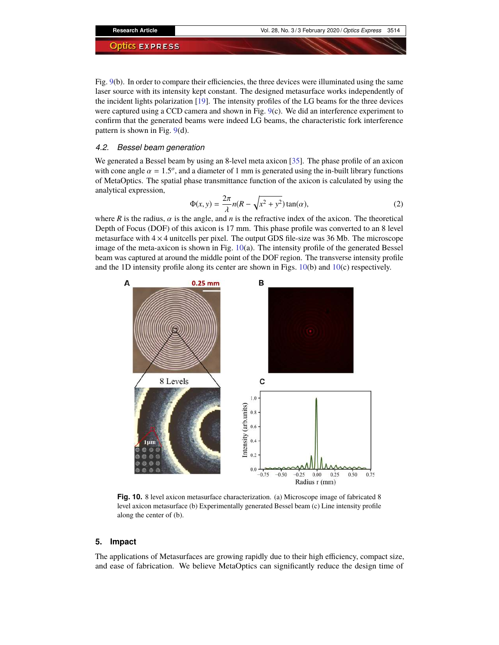Fig. 9(b). In order to compare their efficiencies, the three devices were illuminated using the same laser source with its intensity kept constant. The designed metasurface works independently of the incident lights polarization [19]. The intensity profiles of the LG beams for the three devices were captured using a CCD camera and shown in Fig. 9(c). We did an interference experiment to confirm that the generated beams were indeed LG beams, the characteristic fork interference pattern is shown in Fig. 9(d).

### *4.2. Bessel beam generation*

We generated a Bessel beam by using an 8-level meta axicon [35]. The phase profile of an axicon with cone angle  $\alpha = 1.5^{\circ}$ , and a diameter of 1 mm is generated using the in-built library functions of MetaOptics. The spatial phase transmittance function of the axicon is calculated by using the analytical expression,

$$
\Phi(x, y) = \frac{2\pi}{\lambda} n(R - \sqrt{x^2 + y^2}) \tan(\alpha),\tag{2}
$$

where *R* is the radius,  $\alpha$  is the angle, and *n* is the refractive index of the axicon. The theoretical Depth of Focus (DOF) of this axicon is 17 mm. This phase profile was converted to an 8 level metasurface with  $4 \times 4$  unitcells per pixel. The output GDS file-size was 36 Mb. The microscope image of the meta-axicon is shown in Fig. 10(a). The intensity profile of the generated Bessel beam was captured at around the middle point of the DOF region. The transverse intensity profile and the 1D intensity profile along its center are shown in Figs. 10(b) and 10(c) respectively.



**Fig. 10.** 8 level axicon metasurface characterization. (a) Microscope image of fabricated 8 level axicon metasurface (b) Experimentally generated Bessel beam (c) Line intensity profile along the center of (b).

# **5. Impact**

The applications of Metasurfaces are growing rapidly due to their high efficiency, compact size, and ease of fabrication. We believe MetaOptics can significantly reduce the design time of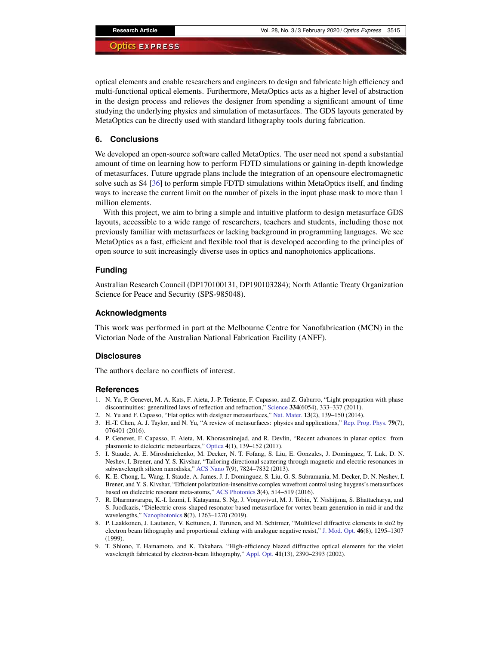optical elements and enable researchers and engineers to design and fabricate high efficiency and multi-functional optical elements. Furthermore, MetaOptics acts as a higher level of abstraction in the design process and relieves the designer from spending a significant amount of time studying the underlying physics and simulation of metasurfaces. The GDS layouts generated by MetaOptics can be directly used with standard lithography tools during fabrication.

### **6. Conclusions**

We developed an open-source software called MetaOptics. The user need not spend a substantial amount of time on learning how to perform FDTD simulations or gaining in-depth knowledge of metasurfaces. Future upgrade plans include the integration of an opensoure electromagnetic solve such as S4 [36] to perform simple FDTD simulations within MetaOptics itself, and finding ways to increase the current limit on the number of pixels in the input phase mask to more than 1 million elements.

With this project, we aim to bring a simple and intuitive platform to design metasurface GDS layouts, accessible to a wide range of researchers, teachers and students, including those not previously familiar with metasurfaces or lacking background in programming languages. We see MetaOptics as a fast, efficient and flexible tool that is developed according to the principles of open source to suit increasingly diverse uses in optics and nanophotonics applications.

#### **Funding**

Australian Research Council (DP170100131, DP190103284); North Atlantic Treaty Organization Science for Peace and Security (SPS-985048).

#### **Acknowledgments**

This work was performed in part at the Melbourne Centre for Nanofabrication (MCN) in the Victorian Node of the Australian National Fabrication Facility (ANFF).

#### **Disclosures**

The authors declare no conflicts of interest.

# **References**

- 1. N. Yu, P. Genevet, M. A. Kats, F. Aieta, J.-P. Tetienne, F. Capasso, and Z. Gaburro, "Light propagation with phase discontinuities: generalized laws of reflection and refraction," Science **334**(6054), 333–337 (2011).
- 2. N. Yu and F. Capasso, "Flat optics with designer metasurfaces," Nat. Mater. **13**(2), 139–150 (2014).
- 3. H.-T. Chen, A. J. Taylor, and N. Yu, "A review of metasurfaces: physics and applications," Rep. Prog. Phys. **79**(7), 076401 (2016).
- 4. P. Genevet, F. Capasso, F. Aieta, M. Khorasaninejad, and R. Devlin, "Recent advances in planar optics: from plasmonic to dielectric metasurfaces," Optica **4**(1), 139–152 (2017).
- 5. I. Staude, A. E. Miroshnichenko, M. Decker, N. T. Fofang, S. Liu, E. Gonzales, J. Dominguez, T. Luk, D. N. Neshev, I. Brener, and Y. S. Kivshar, "Tailoring directional scattering through magnetic and electric resonances in subwavelength silicon nanodisks," ACS Nano **7**(9), 7824–7832 (2013).
- 6. K. E. Chong, L. Wang, I. Staude, A. James, J. J. Dominguez, S. Liu, G. S. Subramania, M. Decker, D. N. Neshev, I. Brener, and Y. S. Kivshar, "Efficient polarization-insensitive complex wavefront control using huygens's metasurfaces based on dielectric resonant meta-atoms," ACS Photonics **3**(4), 514–519 (2016).
- 7. R. Dharmavarapu, K.-I. Izumi, I. Katayama, S. Ng, J. Vongsvivut, M. J. Tobin, Y. Nishijima, S. Bhattacharya, and S. Juodkazis, "Dielectric cross-shaped resonator based metasurface for vortex beam generation in mid-ir and thz wavelengths," Nanophotonics **8**(7), 1263–1270 (2019).
- 8. P. Laakkonen, J. Lautanen, V. Kettunen, J. Turunen, and M. Schirmer, "Multilevel diffractive elements in sio2 by electron beam lithography and proportional etching with analogue negative resist," J. Mod. Opt. **46**(8), 1295–1307 (1999).
- 9. T. Shiono, T. Hamamoto, and K. Takahara, "High-efficiency blazed diffractive optical elements for the violet wavelength fabricated by electron-beam lithography," Appl. Opt. **41**(13), 2390–2393 (2002).